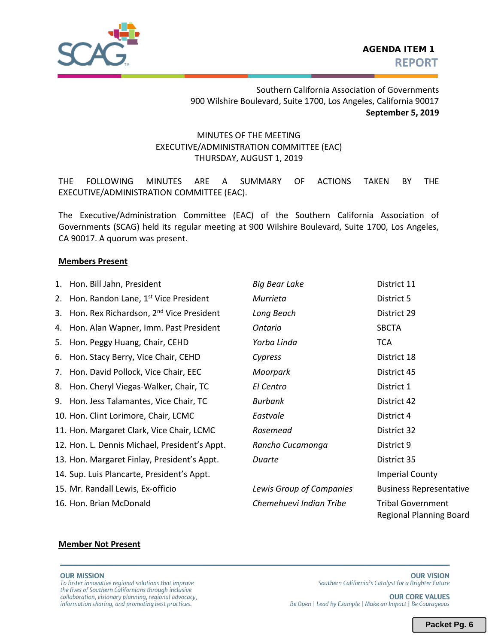

Southern California Association of Governments 900 Wilshire Boulevard, Suite 1700, Los Angeles, California 90017 **September 5, 2019** 

## MINUTES OF THE MEETING EXECUTIVE/ADMINISTRATION COMMITTEE (EAC) THURSDAY, AUGUST 1, 2019

THE FOLLOWING MINUTES ARE A SUMMARY OF ACTIONS TAKEN BY THE EXECUTIVE/ADMINISTRATION COMMITTEE (EAC).

The Executive/Administration Committee (EAC) of the Southern California Association of Governments (SCAG) held its regular meeting at 900 Wilshire Boulevard, Suite 1700, Los Angeles, CA 90017. A quorum was present.

### **Members Present**

| 1. | Hon. Bill Jahn, President                           | <b>Big Bear Lake</b>     | District 11                                         |
|----|-----------------------------------------------------|--------------------------|-----------------------------------------------------|
| 2. | Hon. Randon Lane, 1 <sup>st</sup> Vice President    | Murrieta                 | District 5                                          |
| 3. | Hon. Rex Richardson, 2 <sup>nd</sup> Vice President | Long Beach               | District 29                                         |
| 4. | Hon. Alan Wapner, Imm. Past President               | <b>Ontario</b>           | <b>SBCTA</b>                                        |
| 5. | Hon. Peggy Huang, Chair, CEHD                       | Yorba Linda              | <b>TCA</b>                                          |
| 6. | Hon. Stacy Berry, Vice Chair, CEHD                  | Cypress                  | District 18                                         |
| 7. | Hon. David Pollock, Vice Chair, EEC                 | Moorpark                 | District 45                                         |
| 8. | Hon. Cheryl Viegas-Walker, Chair, TC                | El Centro                | District 1                                          |
|    | 9. Hon. Jess Talamantes, Vice Chair, TC             | <b>Burbank</b>           | District 42                                         |
|    | 10. Hon. Clint Lorimore, Chair, LCMC                | Eastvale                 | District 4                                          |
|    | 11. Hon. Margaret Clark, Vice Chair, LCMC           | Rosemead                 | District 32                                         |
|    | 12. Hon. L. Dennis Michael, President's Appt.       | Rancho Cucamonga         | District 9                                          |
|    | 13. Hon. Margaret Finlay, President's Appt.         | Duarte                   | District 35                                         |
|    | 14. Sup. Luis Plancarte, President's Appt.          |                          | <b>Imperial County</b>                              |
|    | 15. Mr. Randall Lewis, Ex-officio                   | Lewis Group of Companies | <b>Business Representative</b>                      |
|    | 16. Hon. Brian McDonald                             | Chemehuevi Indian Tribe  | <b>Tribal Government</b><br>Regional Planning Board |

#### **Member Not Present**

#### **OUR MISSION**

To foster innovative regional solutions that improve the lives of Southern Californians through inclusive collaboration, visionary planning, regional advocacy, information sharing, and promoting best practices.

**OUR CORE VALUES** Be Open | Lead by Example | Make an Impact | Be Courageous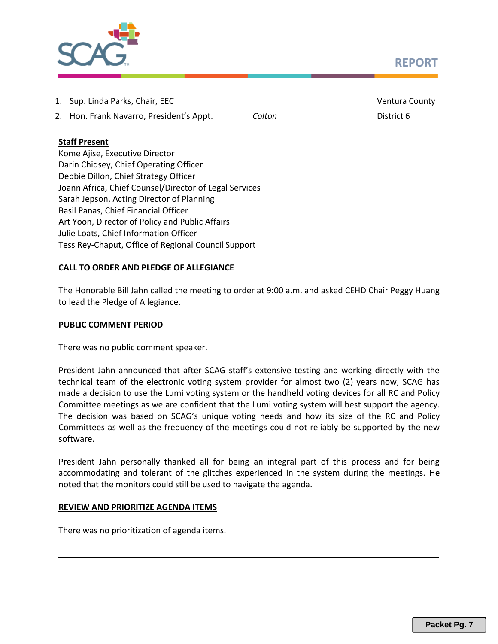# **REPORT**



- 1. Sup. Linda Parks, Chair, EEC Ventura County
- 2. Hon. Frank Navarro, President's Appt. *Colton* District 6

## **Staff Present**

Kome Ajise, Executive Director Darin Chidsey, Chief Operating Officer Debbie Dillon, Chief Strategy Officer Joann Africa, Chief Counsel/Director of Legal Services Sarah Jepson, Acting Director of Planning Basil Panas, Chief Financial Officer Art Yoon, Director of Policy and Public Affairs Julie Loats, Chief Information Officer Tess Rey-Chaput, Office of Regional Council Support

## **CALL TO ORDER AND PLEDGE OF ALLEGIANCE**

The Honorable Bill Jahn called the meeting to order at 9:00 a.m. and asked CEHD Chair Peggy Huang to lead the Pledge of Allegiance.

## **PUBLIC COMMENT PERIOD**

There was no public comment speaker.

President Jahn announced that after SCAG staff's extensive testing and working directly with the technical team of the electronic voting system provider for almost two (2) years now, SCAG has made a decision to use the Lumi voting system or the handheld voting devices for all RC and Policy Committee meetings as we are confident that the Lumi voting system will best support the agency. The decision was based on SCAG's unique voting needs and how its size of the RC and Policy Committees as well as the frequency of the meetings could not reliably be supported by the new software.

President Jahn personally thanked all for being an integral part of this process and for being accommodating and tolerant of the glitches experienced in the system during the meetings. He noted that the monitors could still be used to navigate the agenda.

## **REVIEW AND PRIORITIZE AGENDA ITEMS**

There was no prioritization of agenda items.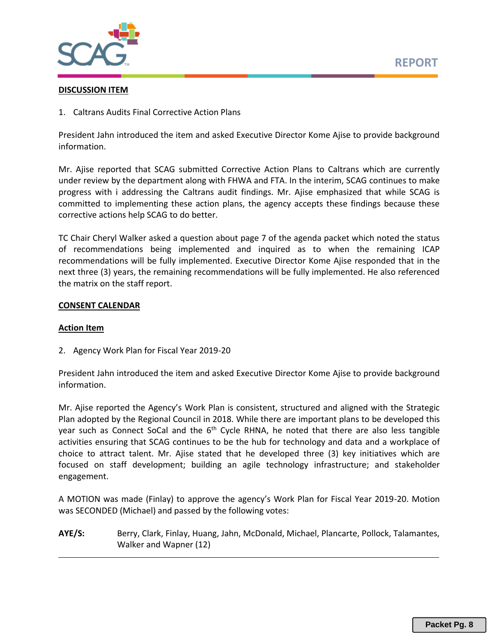

#### **DISCUSSION ITEM**

1. Caltrans Audits Final Corrective Action Plans

President Jahn introduced the item and asked Executive Director Kome Ajise to provide background information.

Mr. Ajise reported that SCAG submitted Corrective Action Plans to Caltrans which are currently under review by the department along with FHWA and FTA. In the interim, SCAG continues to make progress with i addressing the Caltrans audit findings. Mr. Ajise emphasized that while SCAG is committed to implementing these action plans, the agency accepts these findings because these corrective actions help SCAG to do better.

TC Chair Cheryl Walker asked a question about page 7 of the agenda packet which noted the status of recommendations being implemented and inquired as to when the remaining ICAP recommendations will be fully implemented. Executive Director Kome Ajise responded that in the next three (3) years, the remaining recommendations will be fully implemented. He also referenced the matrix on the staff report.

### **CONSENT CALENDAR**

#### **Action Item**

2. Agency Work Plan for Fiscal Year 2019-20

President Jahn introduced the item and asked Executive Director Kome Ajise to provide background information.

Mr. Ajise reported the Agency's Work Plan is consistent, structured and aligned with the Strategic Plan adopted by the Regional Council in 2018. While there are important plans to be developed this year such as Connect SoCal and the  $6<sup>th</sup>$  Cycle RHNA, he noted that there are also less tangible activities ensuring that SCAG continues to be the hub for technology and data and a workplace of choice to attract talent. Mr. Ajise stated that he developed three (3) key initiatives which are focused on staff development; building an agile technology infrastructure; and stakeholder engagement.

A MOTION was made (Finlay) to approve the agency's Work Plan for Fiscal Year 2019-20. Motion was SECONDED (Michael) and passed by the following votes:

**AYE/S:** Berry, Clark, Finlay, Huang, Jahn, McDonald, Michael, Plancarte, Pollock, Talamantes, Walker and Wapner (12)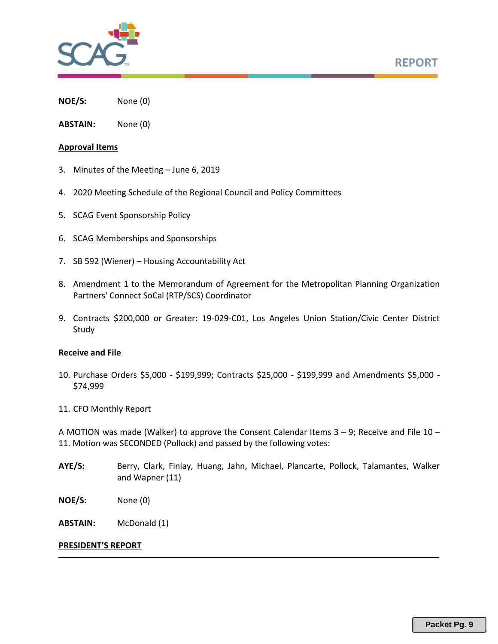

**NOE/S:** None (0)

**ABSTAIN:** None (0)

#### **Approval Items**

- 3. Minutes of the Meeting June 6, 2019
- 4. 2020 Meeting Schedule of the Regional Council and Policy Committees
- 5. SCAG Event Sponsorship Policy
- 6. SCAG Memberships and Sponsorships
- 7. SB 592 (Wiener) Housing Accountability Act
- 8. Amendment 1 to the Memorandum of Agreement for the Metropolitan Planning Organization Partners' Connect SoCal (RTP/SCS) Coordinator
- 9. Contracts \$200,000 or Greater: 19-029-C01, Los Angeles Union Station/Civic Center District Study

#### **Receive and File**

- 10. Purchase Orders \$5,000 \$199,999; Contracts \$25,000 \$199,999 and Amendments \$5,000 \$74,999
- 11. CFO Monthly Report

A MOTION was made (Walker) to approve the Consent Calendar Items  $3 - 9$ ; Receive and File 10 – 11. Motion was SECONDED (Pollock) and passed by the following votes:

- **AYE/S:** Berry, Clark, Finlay, Huang, Jahn, Michael, Plancarte, Pollock, Talamantes, Walker and Wapner (11)
- **NOE/S:** None (0)

**ABSTAIN:** McDonald (1)

#### **PRESIDENT'S REPORT**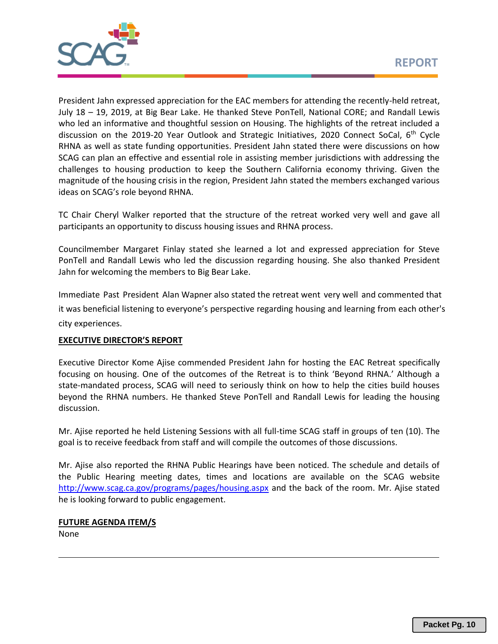

President Jahn expressed appreciation for the EAC members for attending the recently-held retreat, July 18 – 19, 2019, at Big Bear Lake. He thanked Steve PonTell, National CORE; and Randall Lewis who led an informative and thoughtful session on Housing. The highlights of the retreat included a discussion on the 2019-20 Year Outlook and Strategic Initiatives, 2020 Connect SoCal,  $6<sup>th</sup>$  Cycle RHNA as well as state funding opportunities. President Jahn stated there were discussions on how SCAG can plan an effective and essential role in assisting member jurisdictions with addressing the challenges to housing production to keep the Southern California economy thriving. Given the magnitude of the housing crisis in the region, President Jahn stated the members exchanged various ideas on SCAG's role beyond RHNA.

TC Chair Cheryl Walker reported that the structure of the retreat worked very well and gave all participants an opportunity to discuss housing issues and RHNA process.

Councilmember Margaret Finlay stated she learned a lot and expressed appreciation for Steve PonTell and Randall Lewis who led the discussion regarding housing. She also thanked President Jahn for welcoming the members to Big Bear Lake.

Immediate Past President Alan Wapner also stated the retreat went very well and commented that it was beneficial listening to everyone's perspective regarding housing and learning from each other's city experiences.

## **EXECUTIVE DIRECTOR'S REPORT**

Executive Director Kome Ajise commended President Jahn for hosting the EAC Retreat specifically focusing on housing. One of the outcomes of the Retreat is to think 'Beyond RHNA.' Although a state-mandated process, SCAG will need to seriously think on how to help the cities build houses beyond the RHNA numbers. He thanked Steve PonTell and Randall Lewis for leading the housing discussion.

Mr. Ajise reported he held Listening Sessions with all full-time SCAG staff in groups of ten (10). The goal is to receive feedback from staff and will compile the outcomes of those discussions.

Mr. Ajise also reported the RHNA Public Hearings have been noticed. The schedule and details of the Public Hearing meeting dates, times and locations are available on the SCAG website <http://www.scag.ca.gov/programs/pages/housing.aspx>and the back of the room. Mr. Ajise stated he is looking forward to public engagement.

**FUTURE AGENDA ITEM/S**  None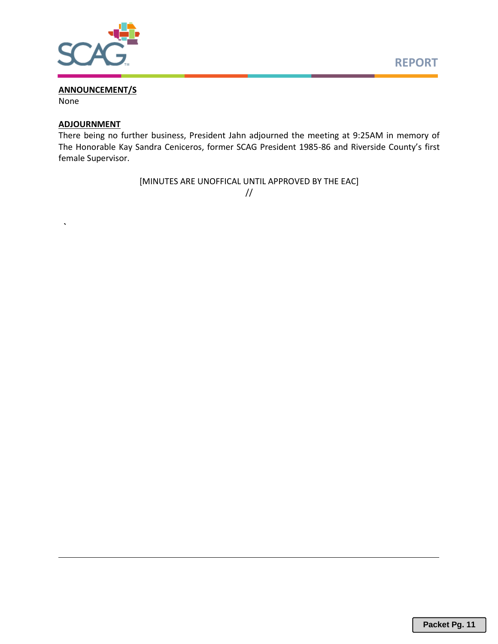

#### **ANNOUNCEMENT/S**

None

 *`* 

#### **ADJOURNMENT**

There being no further business, President Jahn adjourned the meeting at 9:25AM in memory of The Honorable Kay Sandra Ceniceros, former SCAG President 1985-86 and Riverside County's first female Supervisor.

> [MINUTES ARE UNOFFICAL UNTIL APPROVED BY THE EAC] //